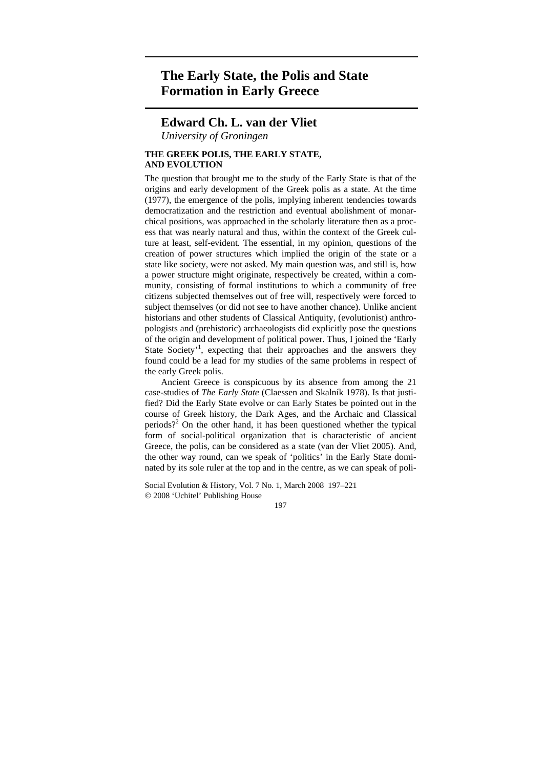# **The Early State, the Polis and State Formation in Early Greece**

## **Edward Ch. L. van der Vliet**

*University of Groningen* 

## **THE GREEK POLIS, THE EARLY STATE, AND EVOLUTION**

The question that brought me to the study of the Early State is that of the origins and early development of the Greek polis as a state. At the time (1977), the emergence of the polis, implying inherent tendencies towards democratization and the restriction and eventual abolishment of monarchical positions, was approached in the scholarly literature then as a process that was nearly natural and thus, within the context of the Greek culture at least, self-evident. The essential, in my opinion, questions of the creation of power structures which implied the origin of the state or a state like society, were not asked. My main question was, and still is, how a power structure might originate, respectively be created, within a community, consisting of formal institutions to which a community of free citizens subjected themselves out of free will, respectively were forced to subject themselves (or did not see to have another chance). Unlike ancient historians and other students of Classical Antiquity, (evolutionist) anthropologists and (prehistoric) archaeologists did explicitly pose the questions of the origin and development of political power. Thus, I joined the 'Early State Society<sup>1</sup>, expecting that their approaches and the answers they found could be a lead for my studies of the same problems in respect of the early Greek polis.

Ancient Greece is conspicuous by its absence from among the 21 case-studies of *The Early State* (Claessen and Skalník 1978). Is that justified? Did the Early State evolve or can Early States be pointed out in the course of Greek history, the Dark Ages, and the Archaic and Classical periods?<sup>2</sup> On the other hand, it has been questioned whether the typical form of social-political organization that is characteristic of ancient Greece, the polis, can be considered as a state (van der Vliet 2005). And, the other way round, can we speak of 'politics' in the Early State dominated by its sole ruler at the top and in the centre, as we can speak of poli-

Social Evolution & History, Vol. 7 No. 1, March 2008 197–221 © 2008 'Uchitel' Publishing House

197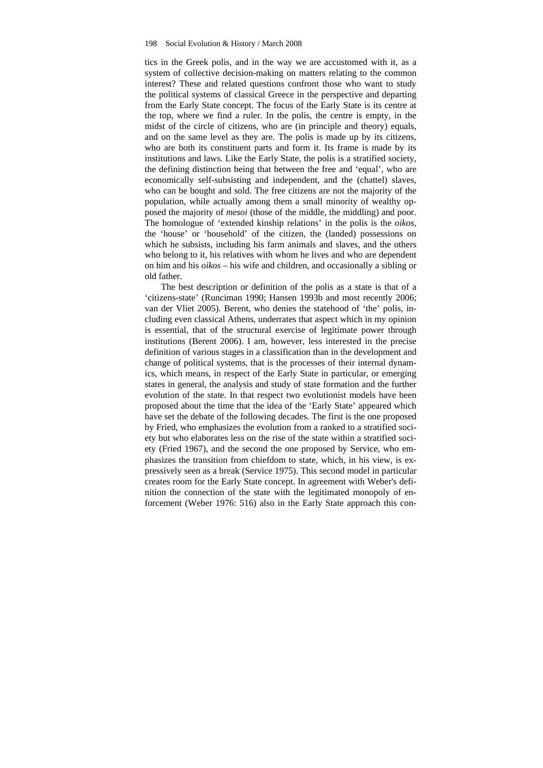tics in the Greek polis, and in the way we are accustomed with it, as a system of collective decision-making on matters relating to the common interest? These and related questions confront those who want to study the political systems of classical Greece in the perspective and departing from the Early State concept. The focus of the Early State is its centre at the top, where we find a ruler. In the polis, the centre is empty, in the midst of the circle of citizens, who are (in principle and theory) equals, and on the same level as they are. The polis is made up by its citizens, who are both its constituent parts and form it. Its frame is made by its institutions and laws. Like the Early State, the polis is a stratified society, the defining distinction being that between the free and 'equal', who are economically self-subsisting and independent, and the (chattel) slaves, who can be bought and sold. The free citizens are not the majority of the population, while actually among them a small minority of wealthy opposed the majority of *mesoi* (those of the middle, the middling) and poor. The homologue of 'extended kinship relations' in the polis is the *oikos*, the 'house' or 'household' of the citizen, the (landed) possessions on which he subsists, including his farm animals and slaves, and the others who belong to it, his relatives with whom he lives and who are dependent on him and his *oikos* – his wife and children, and occasionally a sibling or old father.

The best description or definition of the polis as a state is that of a 'citizens-state' (Runciman 1990; Hansen 1993b and most recently 2006; van der Vliet 2005). Berent, who denies the statehood of 'the' polis, including even classical Athens, underrates that aspect which in my opinion is essential, that of the structural exercise of legitimate power through institutions (Berent 2006). I am, however, less interested in the precise definition of various stages in a classification than in the development and change of political systems, that is the processes of their internal dynamics, which means, in respect of the Early State in particular, or emerging states in general, the analysis and study of state formation and the further evolution of the state. In that respect two evolutionist models have been proposed about the time that the idea of the 'Early State' appeared which have set the debate of the following decades. The first is the one proposed by Fried, who emphasizes the evolution from a ranked to a stratified society but who elaborates less on the rise of the state within a stratified society (Fried 1967), and the second the one proposed by Service, who emphasizes the transition from chiefdom to state, which, in his view, is expressively seen as a break (Service 1975). This second model in particular creates room for the Early State concept. In agreement with Weber's definition the connection of the state with the legitimated monopoly of enforcement (Weber 1976: 516) also in the Early State approach this con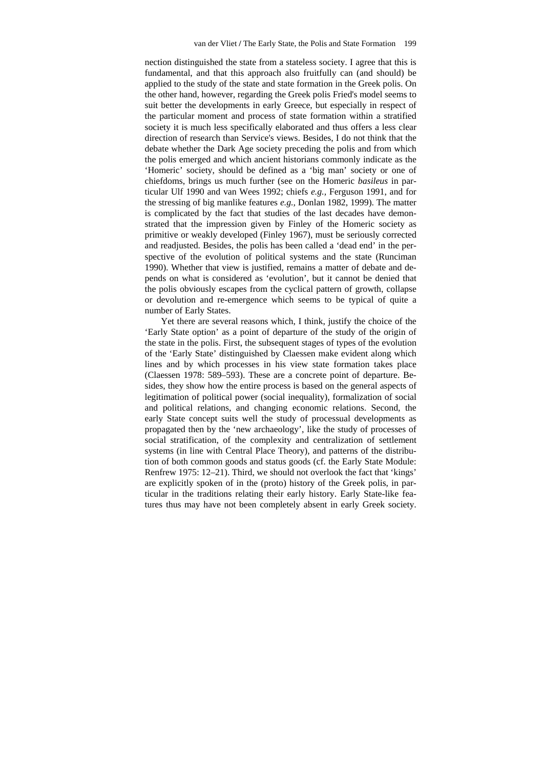nection distinguished the state from a stateless society. I agree that this is fundamental, and that this approach also fruitfully can (and should) be applied to the study of the state and state formation in the Greek polis. On the other hand, however, regarding the Greek polis Fried's model seems to suit better the developments in early Greece, but especially in respect of the particular moment and process of state formation within a stratified society it is much less specifically elaborated and thus offers a less clear direction of research than Service's views. Besides, I do not think that the debate whether the Dark Age society preceding the polis and from which the polis emerged and which ancient historians commonly indicate as the 'Homeric' society, should be defined as a 'big man' society or one of chiefdoms, brings us much further (see on the Homeric *basileus* in particular Ulf 1990 and van Wees 1992; chiefs *e.g.,* Ferguson 1991, and for the stressing of big manlike features *e.g.,* Donlan 1982, 1999). The matter is complicated by the fact that studies of the last decades have demonstrated that the impression given by Finley of the Homeric society as primitive or weakly developed (Finley 1967), must be seriously corrected and readjusted. Besides, the polis has been called a 'dead end' in the perspective of the evolution of political systems and the state (Runciman 1990). Whether that view is justified, remains a matter of debate and depends on what is considered as 'evolution', but it cannot be denied that the polis obviously escapes from the cyclical pattern of growth, collapse or devolution and re-emergence which seems to be typical of quite a number of Early States.

Yet there are several reasons which, I think, justify the choice of the 'Early State option' as a point of departure of the study of the origin of the state in the polis. First, the subsequent stages of types of the evolution of the 'Early State' distinguished by Claessen make evident along which lines and by which processes in his view state formation takes place (Claessen 1978: 589–593). These are a concrete point of departure. Besides, they show how the entire process is based on the general aspects of legitimation of political power (social inequality), formalization of social and political relations, and changing economic relations. Second, the early State concept suits well the study of processual developments as propagated then by the 'new archaeology', like the study of processes of social stratification, of the complexity and centralization of settlement systems (in line with Central Place Theory), and patterns of the distribution of both common goods and status goods (cf. the Early State Module: Renfrew 1975: 12–21). Third, we should not overlook the fact that 'kings' are explicitly spoken of in the (proto) history of the Greek polis, in particular in the traditions relating their early history. Early State-like features thus may have not been completely absent in early Greek society.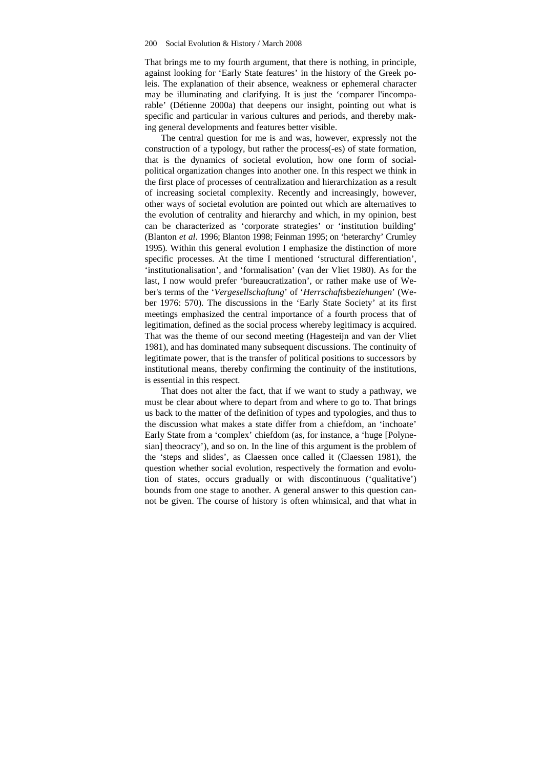That brings me to my fourth argument, that there is nothing, in principle, against looking for 'Early State features' in the history of the Greek poleis. The explanation of their absence, weakness or ephemeral character may be illuminating and clarifying. It is just the 'comparer l'incomparable' (Détienne 2000a) that deepens our insight, pointing out what is specific and particular in various cultures and periods, and thereby making general developments and features better visible.

The central question for me is and was, however, expressly not the construction of a typology, but rather the process(-es) of state formation, that is the dynamics of societal evolution, how one form of socialpolitical organization changes into another one. In this respect we think in the first place of processes of centralization and hierarchization as a result of increasing societal complexity. Recently and increasingly, however, other ways of societal evolution are pointed out which are alternatives to the evolution of centrality and hierarchy and which, in my opinion, best can be characterized as 'corporate strategies' or 'institution building' (Blanton *et al*. 1996; Blanton 1998; Feinman 1995; on 'heterarchy' Crumley 1995). Within this general evolution I emphasize the distinction of more specific processes. At the time I mentioned 'structural differentiation', 'institutionalisation', and 'formalisation' (van der Vliet 1980). As for the last, I now would prefer 'bureaucratization', or rather make use of Weber's terms of the '*Vergesellschaftung*' of '*Herrschaftsbeziehungen*' (Weber 1976: 570). The discussions in the 'Early State Society' at its first meetings emphasized the central importance of a fourth process that of legitimation, defined as the social process whereby legitimacy is acquired. That was the theme of our second meeting (Hagesteijn and van der Vliet 1981), and has dominated many subsequent discussions. The continuity of legitimate power, that is the transfer of political positions to successors by institutional means, thereby confirming the continuity of the institutions, is essential in this respect.

That does not alter the fact, that if we want to study a pathway, we must be clear about where to depart from and where to go to. That brings us back to the matter of the definition of types and typologies, and thus to the discussion what makes a state differ from a chiefdom, an 'inchoate' Early State from a 'complex' chiefdom (as, for instance, a 'huge [Polynesian] theocracy'), and so on. In the line of this argument is the problem of the 'steps and slides', as Claessen once called it (Claessen 1981), the question whether social evolution, respectively the formation and evolution of states, occurs gradually or with discontinuous ('qualitative') bounds from one stage to another. A general answer to this question cannot be given. The course of history is often whimsical, and that what in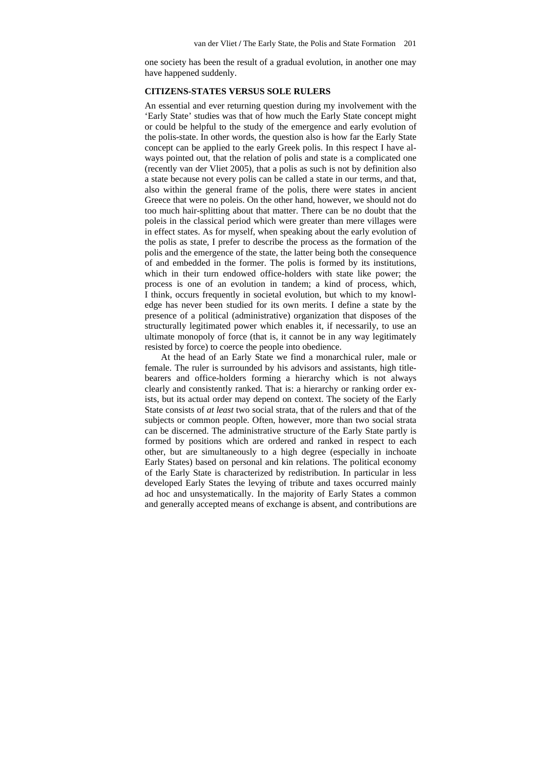one society has been the result of a gradual evolution, in another one may have happened suddenly.

#### **CITIZENS-STATES VERSUS SOLE RULERS**

An essential and ever returning question during my involvement with the 'Early State' studies was that of how much the Early State concept might or could be helpful to the study of the emergence and early evolution of the polis-state. In other words, the question also is how far the Early State concept can be applied to the early Greek polis. In this respect I have always pointed out, that the relation of polis and state is a complicated one (recently van der Vliet 2005), that a polis as such is not by definition also a state because not every polis can be called a state in our terms, and that, also within the general frame of the polis, there were states in ancient Greece that were no poleis. On the other hand, however, we should not do too much hair-splitting about that matter. There can be no doubt that the poleis in the classical period which were greater than mere villages were in effect states. As for myself, when speaking about the early evolution of the polis as state, I prefer to describe the process as the formation of the polis and the emergence of the state, the latter being both the consequence of and embedded in the former. The polis is formed by its institutions, which in their turn endowed office-holders with state like power; the process is one of an evolution in tandem; a kind of process, which, I think, occurs frequently in societal evolution, but which to my knowledge has never been studied for its own merits. I define a state by the presence of a political (administrative) organization that disposes of the structurally legitimated power which enables it, if necessarily, to use an ultimate monopoly of force (that is, it cannot be in any way legitimately resisted by force) to coerce the people into obedience.

At the head of an Early State we find a monarchical ruler, male or female. The ruler is surrounded by his advisors and assistants, high titlebearers and office-holders forming a hierarchy which is not always clearly and consistently ranked. That is: a hierarchy or ranking order exists, but its actual order may depend on context. The society of the Early State consists of *at least* two social strata, that of the rulers and that of the subjects or common people. Often, however, more than two social strata can be discerned. The administrative structure of the Early State partly is formed by positions which are ordered and ranked in respect to each other, but are simultaneously to a high degree (especially in inchoate Early States) based on personal and kin relations. The political economy of the Early State is characterized by redistribution. In particular in less developed Early States the levying of tribute and taxes occurred mainly ad hoc and unsystematically. In the majority of Early States a common and generally accepted means of exchange is absent, and contributions are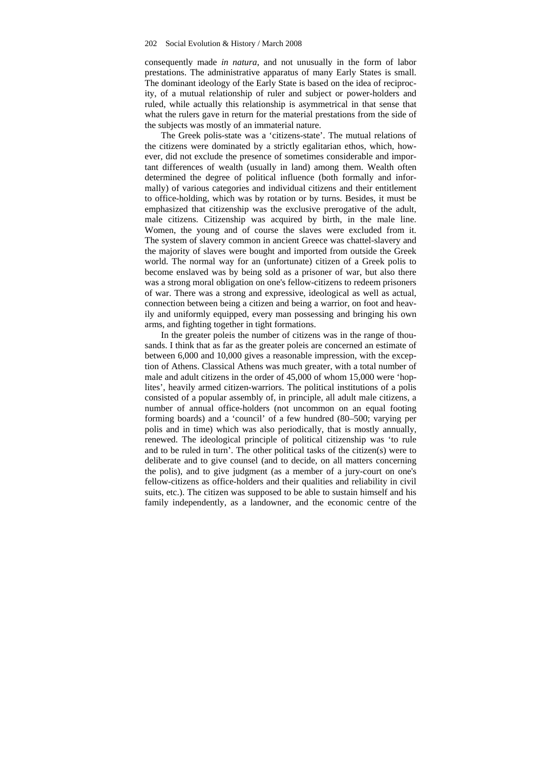consequently made *in natura*, and not unusually in the form of labor prestations. The administrative apparatus of many Early States is small. The dominant ideology of the Early State is based on the idea of reciprocity, of a mutual relationship of ruler and subject or power-holders and ruled, while actually this relationship is asymmetrical in that sense that what the rulers gave in return for the material prestations from the side of the subjects was mostly of an immaterial nature.

The Greek polis-state was a 'citizens-state'. The mutual relations of the citizens were dominated by a strictly egalitarian ethos, which, however, did not exclude the presence of sometimes considerable and important differences of wealth (usually in land) among them. Wealth often determined the degree of political influence (both formally and informally) of various categories and individual citizens and their entitlement to office-holding, which was by rotation or by turns. Besides, it must be emphasized that citizenship was the exclusive prerogative of the adult, male citizens. Citizenship was acquired by birth, in the male line. Women, the young and of course the slaves were excluded from it. The system of slavery common in ancient Greece was chattel-slavery and the majority of slaves were bought and imported from outside the Greek world. The normal way for an (unfortunate) citizen of a Greek polis to become enslaved was by being sold as a prisoner of war, but also there was a strong moral obligation on one's fellow-citizens to redeem prisoners of war. There was a strong and expressive, ideological as well as actual, connection between being a citizen and being a warrior, on foot and heavily and uniformly equipped, every man possessing and bringing his own arms, and fighting together in tight formations.

In the greater poleis the number of citizens was in the range of thousands. I think that as far as the greater poleis are concerned an estimate of between 6,000 and 10,000 gives a reasonable impression, with the exception of Athens. Classical Athens was much greater, with a total number of male and adult citizens in the order of 45,000 of whom 15,000 were 'hoplites', heavily armed citizen-warriors. The political institutions of a polis consisted of a popular assembly of, in principle, all adult male citizens, a number of annual office-holders (not uncommon on an equal footing forming boards) and a 'council' of a few hundred (80–500; varying per polis and in time) which was also periodically, that is mostly annually, renewed. The ideological principle of political citizenship was 'to rule and to be ruled in turn'. The other political tasks of the citizen(s) were to deliberate and to give counsel (and to decide, on all matters concerning the polis), and to give judgment (as a member of a jury-court on one's fellow-citizens as office-holders and their qualities and reliability in civil suits, etc.). The citizen was supposed to be able to sustain himself and his family independently, as a landowner, and the economic centre of the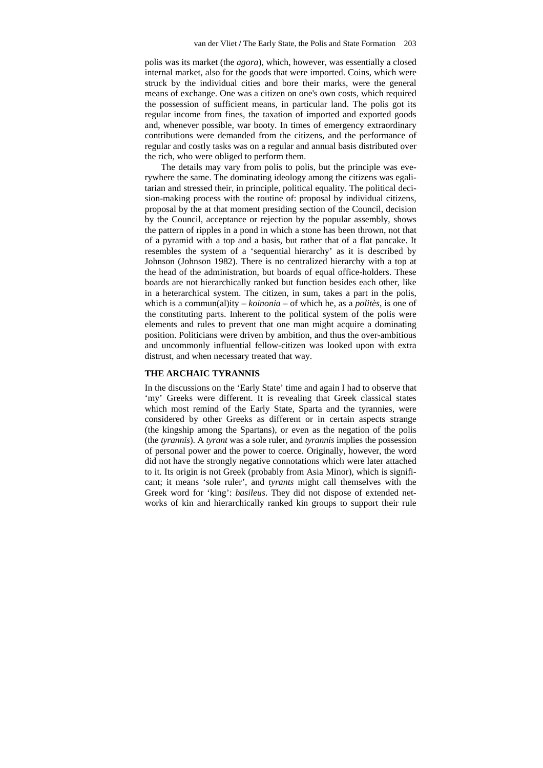polis was its market (the *agora*), which, however, was essentially a closed internal market, also for the goods that were imported. Coins, which were struck by the individual cities and bore their marks, were the general means of exchange. One was a citizen on one's own costs, which required the possession of sufficient means, in particular land. The polis got its regular income from fines, the taxation of imported and exported goods and, whenever possible, war booty. In times of emergency extraordinary contributions were demanded from the citizens, and the performance of regular and costly tasks was on a regular and annual basis distributed over the rich, who were obliged to perform them.

The details may vary from polis to polis, but the principle was everywhere the same. The dominating ideology among the citizens was egalitarian and stressed their, in principle, political equality. The political decision-making process with the routine of: proposal by individual citizens, proposal by the at that moment presiding section of the Council, decision by the Council, acceptance or rejection by the popular assembly, shows the pattern of ripples in a pond in which a stone has been thrown, not that of a pyramid with a top and a basis, but rather that of a flat pancake. It resembles the system of a 'sequential hierarchy' as it is described by Johnson (Johnson 1982). There is no centralized hierarchy with a top at the head of the administration, but boards of equal office-holders. These boards are not hierarchically ranked but function besides each other, like in a heterarchical system. The citizen, in sum, takes a part in the polis, which is a commun(al)ity – *koinonia* – of which he, as a *politès*, is one of the constituting parts. Inherent to the political system of the polis were elements and rules to prevent that one man might acquire a dominating position. Politicians were driven by ambition, and thus the over-ambitious and uncommonly influential fellow-citizen was looked upon with extra distrust, and when necessary treated that way.

#### **THE ARCHAIC TYRANNIS**

In the discussions on the 'Early State' time and again I had to observe that 'my' Greeks were different. It is revealing that Greek classical states which most remind of the Early State, Sparta and the tyrannies, were considered by other Greeks as different or in certain aspects strange (the kingship among the Spartans), or even as the negation of the polis (the *tyrannis*). A *tyrant* was a sole ruler, and *tyrannis* implies the possession of personal power and the power to coerce. Originally, however, the word did not have the strongly negative connotations which were later attached to it. Its origin is not Greek (probably from Asia Minor), which is significant; it means 'sole ruler', and *tyrants* might call themselves with the Greek word for 'king': *basileus*. They did not dispose of extended networks of kin and hierarchically ranked kin groups to support their rule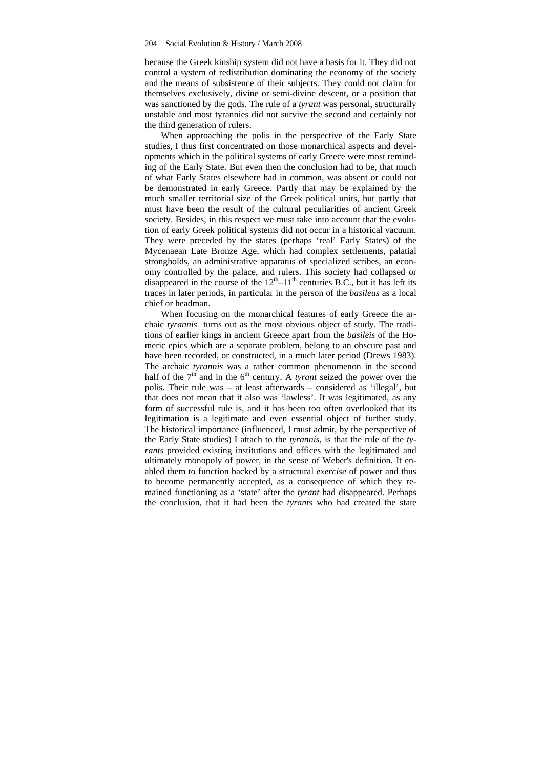because the Greek kinship system did not have a basis for it. They did not control a system of redistribution dominating the economy of the society and the means of subsistence of their subjects. They could not claim for themselves exclusively, divine or semi-divine descent, or a position that was sanctioned by the gods. The rule of a *tyrant* was personal, structurally unstable and most tyrannies did not survive the second and certainly not the third generation of rulers.

When approaching the polis in the perspective of the Early State studies, I thus first concentrated on those monarchical aspects and developments which in the political systems of early Greece were most reminding of the Early State. But even then the conclusion had to be, that much of what Early States elsewhere had in common, was absent or could not be demonstrated in early Greece. Partly that may be explained by the much smaller territorial size of the Greek political units, but partly that must have been the result of the cultural peculiarities of ancient Greek society. Besides, in this respect we must take into account that the evolution of early Greek political systems did not occur in a historical vacuum. They were preceded by the states (perhaps 'real' Early States) of the Mycenaean Late Bronze Age, which had complex settlements, palatial strongholds, an administrative apparatus of specialized scribes, an economy controlled by the palace, and rulers. This society had collapsed or disappeared in the course of the  $12<sup>th</sup>-11<sup>th</sup>$  centuries B.C., but it has left its traces in later periods, in particular in the person of the *basileus* as a local chief or headman.

When focusing on the monarchical features of early Greece the archaic *tyrannis* turns out as the most obvious object of study. The traditions of earlier kings in ancient Greece apart from the *basileis* of the Homeric epics which are a separate problem, belong to an obscure past and have been recorded, or constructed, in a much later period (Drews 1983). The archaic *tyrannis* was a rather common phenomenon in the second half of the  $7<sup>th</sup>$  and in the  $6<sup>th</sup>$  century. A *tyrant* seized the power over the polis. Their rule was – at least afterwards – considered as 'illegal', but that does not mean that it also was 'lawless'. It was legitimated, as any form of successful rule is, and it has been too often overlooked that its legitimation is a legitimate and even essential object of further study. The historical importance (influenced, I must admit, by the perspective of the Early State studies) I attach to the *tyrannis*, is that the rule of the *tyrants* provided existing institutions and offices with the legitimated and ultimately monopoly of power, in the sense of Weber's definition. It enabled them to function backed by a structural *exercise* of power and thus to become permanently accepted, as a consequence of which they remained functioning as a 'state' after the *tyrant* had disappeared. Perhaps the conclusion, that it had been the *tyrants* who had created the state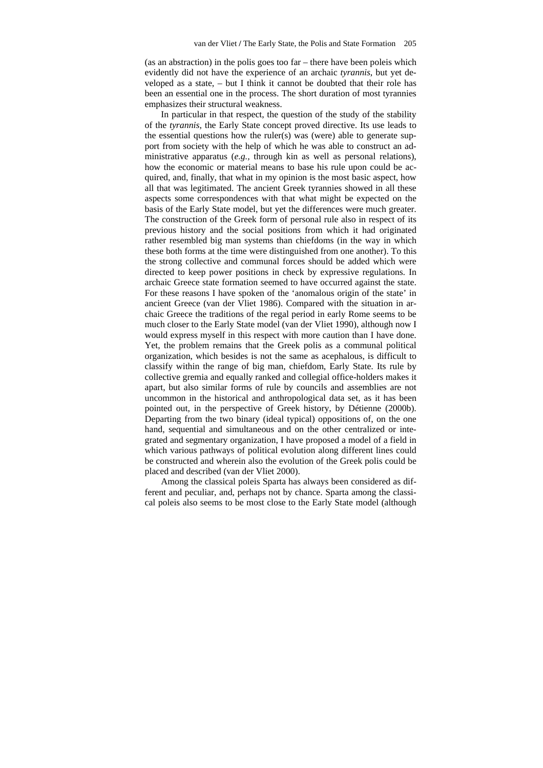(as an abstraction) in the polis goes too far – there have been poleis which evidently did not have the experience of an archaic *tyrannis*, but yet developed as a state, – but I think it cannot be doubted that their role has been an essential one in the process. The short duration of most tyrannies emphasizes their structural weakness.

In particular in that respect, the question of the study of the stability of the *tyrannis*, the Early State concept proved directive. Its use leads to the essential questions how the ruler(s) was (were) able to generate support from society with the help of which he was able to construct an administrative apparatus (*e.g.,* through kin as well as personal relations), how the economic or material means to base his rule upon could be acquired, and, finally, that what in my opinion is the most basic aspect, how all that was legitimated. The ancient Greek tyrannies showed in all these aspects some correspondences with that what might be expected on the basis of the Early State model, but yet the differences were much greater. The construction of the Greek form of personal rule also in respect of its previous history and the social positions from which it had originated rather resembled big man systems than chiefdoms (in the way in which these both forms at the time were distinguished from one another). To this the strong collective and communal forces should be added which were directed to keep power positions in check by expressive regulations. In archaic Greece state formation seemed to have occurred against the state. For these reasons I have spoken of the 'anomalous origin of the state' in ancient Greece (van der Vliet 1986). Compared with the situation in archaic Greece the traditions of the regal period in early Rome seems to be much closer to the Early State model (van der Vliet 1990), although now I would express myself in this respect with more caution than I have done. Yet, the problem remains that the Greek polis as a communal political organization, which besides is not the same as acephalous, is difficult to classify within the range of big man, chiefdom, Early State. Its rule by collective gremia and equally ranked and collegial office-holders makes it apart, but also similar forms of rule by councils and assemblies are not uncommon in the historical and anthropological data set, as it has been pointed out, in the perspective of Greek history, by Détienne (2000b). Departing from the two binary (ideal typical) oppositions of, on the one hand, sequential and simultaneous and on the other centralized or integrated and segmentary organization, I have proposed a model of a field in which various pathways of political evolution along different lines could be constructed and wherein also the evolution of the Greek polis could be placed and described (van der Vliet 2000).

Among the classical poleis Sparta has always been considered as different and peculiar, and, perhaps not by chance. Sparta among the classical poleis also seems to be most close to the Early State model (although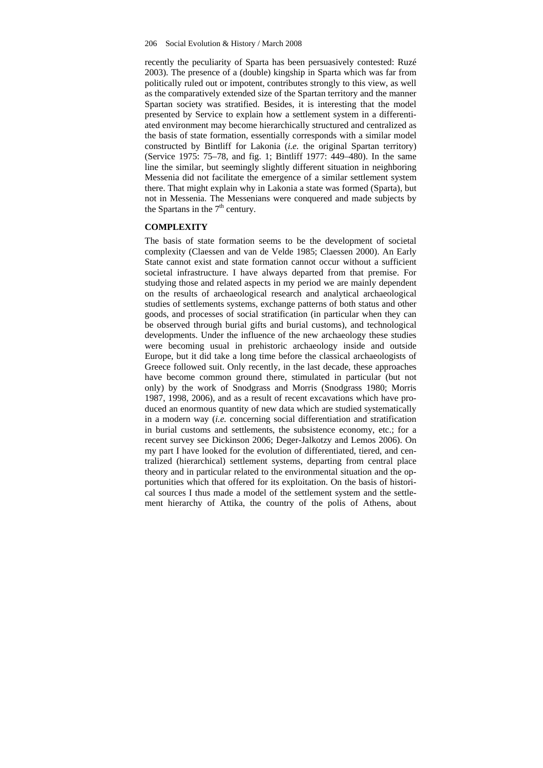recently the peculiarity of Sparta has been persuasively contested: Ruzé 2003). The presence of a (double) kingship in Sparta which was far from politically ruled out or impotent, contributes strongly to this view, as well as the comparatively extended size of the Spartan territory and the manner Spartan society was stratified. Besides, it is interesting that the model presented by Service to explain how a settlement system in a differentiated environment may become hierarchically structured and centralized as the basis of state formation, essentially corresponds with a similar model constructed by Bintliff for Lakonia (*i.e.* the original Spartan territory) (Service 1975: 75–78, and fig. 1; Bintliff 1977: 449–480). In the same line the similar, but seemingly slightly different situation in neighboring Messenia did not facilitate the emergence of a similar settlement system there. That might explain why in Lakonia a state was formed (Sparta), but not in Messenia. The Messenians were conquered and made subjects by the Spartans in the  $7<sup>th</sup>$  century.

## **COMPLEXITY**

The basis of state formation seems to be the development of societal complexity (Claessen and van de Velde 1985; Claessen 2000). An Early State cannot exist and state formation cannot occur without a sufficient societal infrastructure. I have always departed from that premise. For studying those and related aspects in my period we are mainly dependent on the results of archaeological research and analytical archaeological studies of settlements systems, exchange patterns of both status and other goods, and processes of social stratification (in particular when they can be observed through burial gifts and burial customs), and technological developments. Under the influence of the new archaeology these studies were becoming usual in prehistoric archaeology inside and outside Europe, but it did take a long time before the classical archaeologists of Greece followed suit. Only recently, in the last decade, these approaches have become common ground there, stimulated in particular (but not only) by the work of Snodgrass and Morris (Snodgrass 1980; Morris 1987, 1998, 2006), and as a result of recent excavations which have produced an enormous quantity of new data which are studied systematically in a modern way (*i.e.* concerning social differentiation and stratification in burial customs and settlements, the subsistence economy, etc.; for a recent survey see Dickinson 2006; Deger-Jalkotzy and Lemos 2006). On my part I have looked for the evolution of differentiated, tiered, and centralized (hierarchical) settlement systems, departing from central place theory and in particular related to the environmental situation and the opportunities which that offered for its exploitation. On the basis of historical sources I thus made a model of the settlement system and the settlement hierarchy of Attika, the country of the polis of Athens, about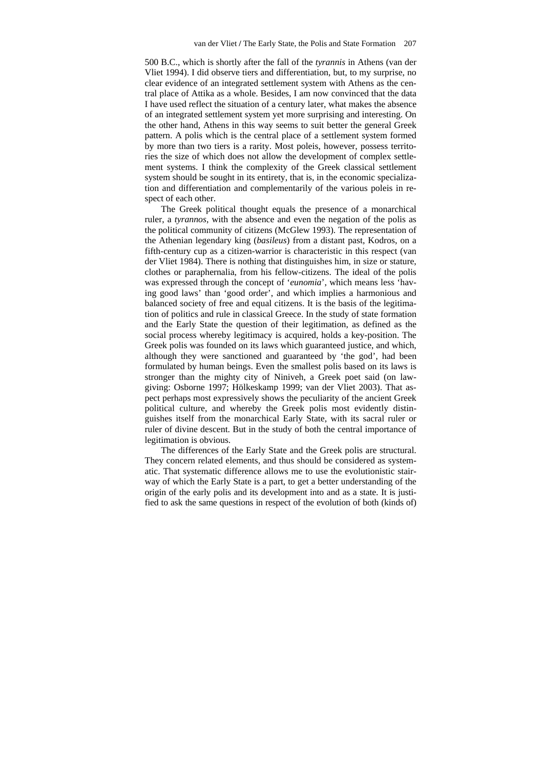500 B.C., which is shortly after the fall of the *tyrannis* in Athens (van der Vliet 1994). I did observe tiers and differentiation, but, to my surprise, no clear evidence of an integrated settlement system with Athens as the central place of Attika as a whole. Besides, I am now convinced that the data I have used reflect the situation of a century later, what makes the absence of an integrated settlement system yet more surprising and interesting. On the other hand, Athens in this way seems to suit better the general Greek pattern. A polis which is the central place of a settlement system formed by more than two tiers is a rarity. Most poleis, however, possess territories the size of which does not allow the development of complex settlement systems. I think the complexity of the Greek classical settlement system should be sought in its entirety, that is, in the economic specialization and differentiation and complementarily of the various poleis in respect of each other.

The Greek political thought equals the presence of a monarchical ruler, a *tyrannos*, with the absence and even the negation of the polis as the political community of citizens (McGlew 1993). The representation of the Athenian legendary king (*basileus*) from a distant past, Kodros, on a fifth-century cup as a citizen-warrior is characteristic in this respect (van der Vliet 1984). There is nothing that distinguishes him, in size or stature, clothes or paraphernalia, from his fellow-citizens. The ideal of the polis was expressed through the concept of '*eunomia*', which means less 'having good laws' than 'good order', and which implies a harmonious and balanced society of free and equal citizens. It is the basis of the legitimation of politics and rule in classical Greece. In the study of state formation and the Early State the question of their legitimation, as defined as the social process whereby legitimacy is acquired, holds a key-position. The Greek polis was founded on its laws which guaranteed justice, and which, although they were sanctioned and guaranteed by 'the god', had been formulated by human beings. Even the smallest polis based on its laws is stronger than the mighty city of Niniveh, a Greek poet said (on lawgiving: Osborne 1997; Hölkeskamp 1999; van der Vliet 2003). That aspect perhaps most expressively shows the peculiarity of the ancient Greek political culture, and whereby the Greek polis most evidently distinguishes itself from the monarchical Early State, with its sacral ruler or ruler of divine descent. But in the study of both the central importance of legitimation is obvious.

The differences of the Early State and the Greek polis are structural. They concern related elements, and thus should be considered as systematic. That systematic difference allows me to use the evolutionistic stairway of which the Early State is a part, to get a better understanding of the origin of the early polis and its development into and as a state. It is justified to ask the same questions in respect of the evolution of both (kinds of)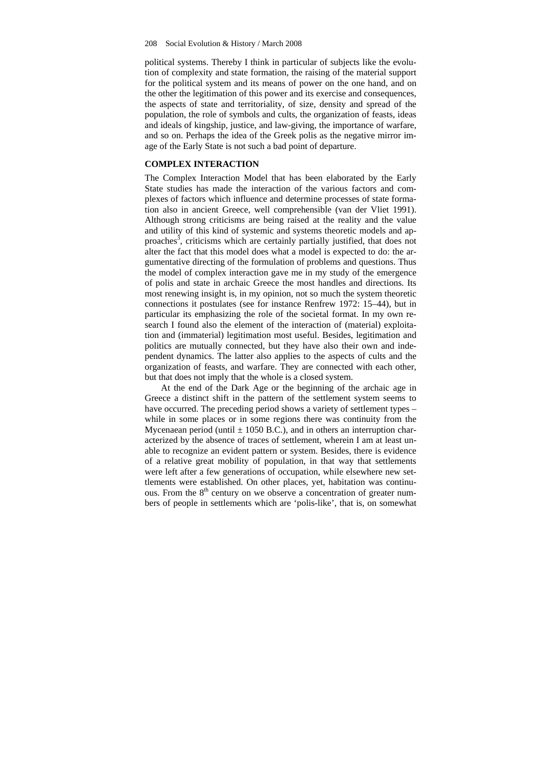political systems. Thereby I think in particular of subjects like the evolution of complexity and state formation, the raising of the material support for the political system and its means of power on the one hand, and on the other the legitimation of this power and its exercise and consequences, the aspects of state and territoriality, of size, density and spread of the population, the role of symbols and cults, the organization of feasts, ideas and ideals of kingship, justice, and law-giving, the importance of warfare, and so on. Perhaps the idea of the Greek polis as the negative mirror image of the Early State is not such a bad point of departure.

## **COMPLEX INTERACTION**

The Complex Interaction Model that has been elaborated by the Early State studies has made the interaction of the various factors and complexes of factors which influence and determine processes of state formation also in ancient Greece, well comprehensible (van der Vliet 1991). Although strong criticisms are being raised at the reality and the value and utility of this kind of systemic and systems theoretic models and approaches<sup>3</sup>, criticisms which are certainly partially justified, that does not alter the fact that this model does what a model is expected to do: the argumentative directing of the formulation of problems and questions. Thus the model of complex interaction gave me in my study of the emergence of polis and state in archaic Greece the most handles and directions. Its most renewing insight is, in my opinion, not so much the system theoretic connections it postulates (see for instance Renfrew 1972: 15–44), but in particular its emphasizing the role of the societal format. In my own research I found also the element of the interaction of (material) exploitation and (immaterial) legitimation most useful. Besides, legitimation and politics are mutually connected, but they have also their own and independent dynamics. The latter also applies to the aspects of cults and the organization of feasts, and warfare. They are connected with each other, but that does not imply that the whole is a closed system.

At the end of the Dark Age or the beginning of the archaic age in Greece a distinct shift in the pattern of the settlement system seems to have occurred. The preceding period shows a variety of settlement types – while in some places or in some regions there was continuity from the Mycenaean period (until  $\pm$  1050 B.C.), and in others an interruption characterized by the absence of traces of settlement, wherein I am at least unable to recognize an evident pattern or system. Besides, there is evidence of a relative great mobility of population, in that way that settlements were left after a few generations of occupation, while elsewhere new settlements were established. On other places, yet, habitation was continuous. From the  $8<sup>th</sup>$  century on we observe a concentration of greater numbers of people in settlements which are 'polis-like', that is, on somewhat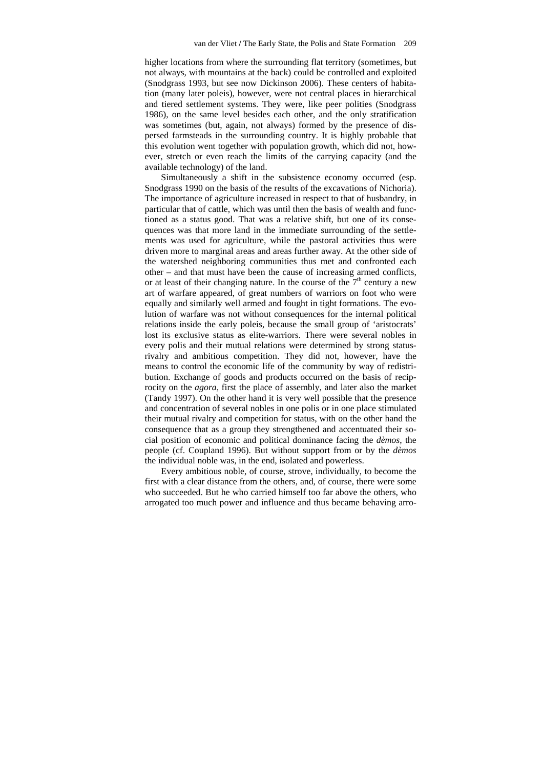higher locations from where the surrounding flat territory (sometimes, but not always, with mountains at the back) could be controlled and exploited (Snodgrass 1993, but see now Dickinson 2006). These centers of habitation (many later poleis), however, were not central places in hierarchical and tiered settlement systems. They were, like peer polities (Snodgrass 1986), on the same level besides each other, and the only stratification was sometimes (but, again, not always) formed by the presence of dispersed farmsteads in the surrounding country. It is highly probable that this evolution went together with population growth, which did not, however, stretch or even reach the limits of the carrying capacity (and the available technology) of the land.

Simultaneously a shift in the subsistence economy occurred (esp. Snodgrass 1990 on the basis of the results of the excavations of Nichoria). The importance of agriculture increased in respect to that of husbandry, in particular that of cattle, which was until then the basis of wealth and functioned as a status good. That was a relative shift, but one of its consequences was that more land in the immediate surrounding of the settlements was used for agriculture, while the pastoral activities thus were driven more to marginal areas and areas further away. At the other side of the watershed neighboring communities thus met and confronted each other – and that must have been the cause of increasing armed conflicts, or at least of their changing nature. In the course of the  $7<sup>th</sup>$  century a new art of warfare appeared, of great numbers of warriors on foot who were equally and similarly well armed and fought in tight formations. The evolution of warfare was not without consequences for the internal political relations inside the early poleis, because the small group of 'aristocrats' lost its exclusive status as elite-warriors. There were several nobles in every polis and their mutual relations were determined by strong statusrivalry and ambitious competition. They did not, however, have the means to control the economic life of the community by way of redistribution. Exchange of goods and products occurred on the basis of reciprocity on the *agora,* first the place of assembly, and later also the market (Tandy 1997). On the other hand it is very well possible that the presence and concentration of several nobles in one polis or in one place stimulated their mutual rivalry and competition for status, with on the other hand the consequence that as a group they strengthened and accentuated their social position of economic and political dominance facing the *dèmos*, the people (cf. Coupland 1996). But without support from or by the *dèmos* the individual noble was, in the end, isolated and powerless.

Every ambitious noble, of course, strove, individually, to become the first with a clear distance from the others, and, of course, there were some who succeeded. But he who carried himself too far above the others, who arrogated too much power and influence and thus became behaving arro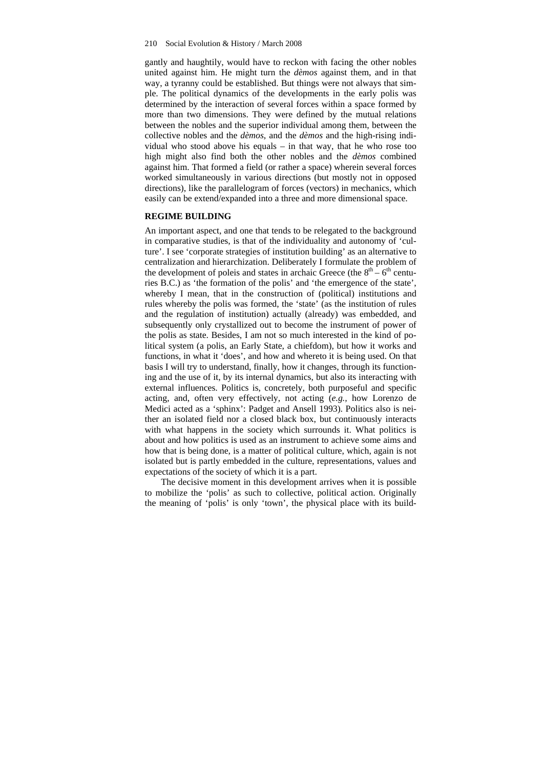gantly and haughtily, would have to reckon with facing the other nobles united against him. He might turn the *dèmos* against them, and in that way, a tyranny could be established. But things were not always that simple. The political dynamics of the developments in the early polis was determined by the interaction of several forces within a space formed by more than two dimensions. They were defined by the mutual relations between the nobles and the superior individual among them, between the collective nobles and the *dèmos*, and the *dèmos* and the high-rising individual who stood above his equals – in that way, that he who rose too high might also find both the other nobles and the *dèmos* combined against him. That formed a field (or rather a space) wherein several forces worked simultaneously in various directions (but mostly not in opposed directions), like the parallelogram of forces (vectors) in mechanics, which easily can be extend/expanded into a three and more dimensional space.

## **REGIME BUILDING**

An important aspect, and one that tends to be relegated to the background in comparative studies, is that of the individuality and autonomy of 'culture'. I see 'corporate strategies of institution building' as an alternative to centralization and hierarchization. Deliberately I formulate the problem of the development of poleis and states in archaic Greece (the  $8<sup>th</sup> - 6<sup>th</sup>$  centuries B.C.) as 'the formation of the polis' and 'the emergence of the state', whereby I mean, that in the construction of (political) institutions and rules whereby the polis was formed, the 'state' (as the institution of rules and the regulation of institution) actually (already) was embedded, and subsequently only crystallized out to become the instrument of power of the polis as state. Besides, I am not so much interested in the kind of political system (a polis, an Early State, a chiefdom), but how it works and functions, in what it 'does', and how and whereto it is being used. On that basis I will try to understand, finally, how it changes, through its functioning and the use of it, by its internal dynamics, but also its interacting with external influences. Politics is, concretely, both purposeful and specific acting, and, often very effectively, not acting (*e.g.,* how Lorenzo de Medici acted as a 'sphinx': Padget and Ansell 1993). Politics also is neither an isolated field nor a closed black box, but continuously interacts with what happens in the society which surrounds it. What politics is about and how politics is used as an instrument to achieve some aims and how that is being done, is a matter of political culture, which, again is not isolated but is partly embedded in the culture, representations, values and expectations of the society of which it is a part.

The decisive moment in this development arrives when it is possible to mobilize the 'polis' as such to collective, political action. Originally the meaning of 'polis' is only 'town', the physical place with its build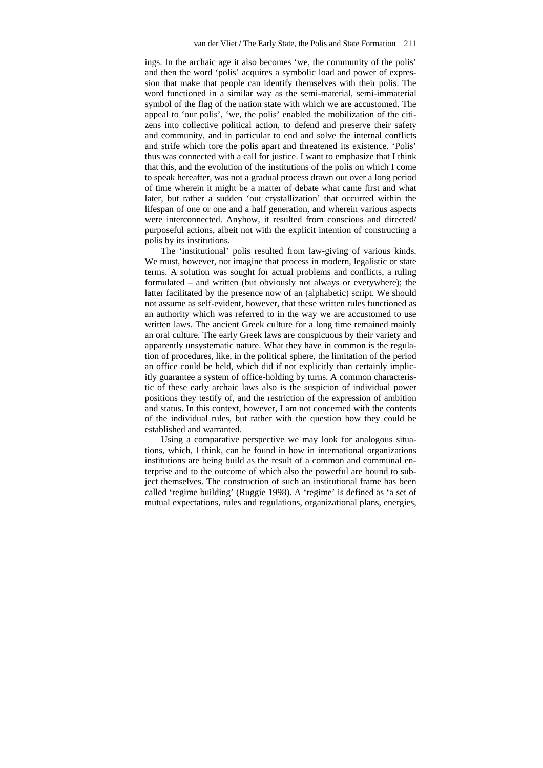ings. In the archaic age it also becomes 'we, the community of the polis' and then the word 'polis' acquires a symbolic load and power of expression that make that people can identify themselves with their polis. The word functioned in a similar way as the semi-material, semi-immaterial symbol of the flag of the nation state with which we are accustomed. The appeal to 'our polis', 'we, the polis' enabled the mobilization of the citizens into collective political action, to defend and preserve their safety and community, and in particular to end and solve the internal conflicts and strife which tore the polis apart and threatened its existence. 'Polis' thus was connected with a call for justice. I want to emphasize that I think that this, and the evolution of the institutions of the polis on which I come to speak hereafter, was not a gradual process drawn out over a long period of time wherein it might be a matter of debate what came first and what later, but rather a sudden 'out crystallization' that occurred within the lifespan of one or one and a half generation, and wherein various aspects were interconnected. Anyhow, it resulted from conscious and directed/ purposeful actions, albeit not with the explicit intention of constructing a polis by its institutions.

The 'institutional' polis resulted from law-giving of various kinds. We must, however, not imagine that process in modern, legalistic or state terms. A solution was sought for actual problems and conflicts, a ruling formulated – and written (but obviously not always or everywhere); the latter facilitated by the presence now of an (alphabetic) script. We should not assume as self-evident, however, that these written rules functioned as an authority which was referred to in the way we are accustomed to use written laws. The ancient Greek culture for a long time remained mainly an oral culture. The early Greek laws are conspicuous by their variety and apparently unsystematic nature. What they have in common is the regulation of procedures, like, in the political sphere, the limitation of the period an office could be held, which did if not explicitly than certainly implicitly guarantee a system of office-holding by turns. A common characteristic of these early archaic laws also is the suspicion of individual power positions they testify of, and the restriction of the expression of ambition and status. In this context, however, I am not concerned with the contents of the individual rules, but rather with the question how they could be established and warranted.

Using a comparative perspective we may look for analogous situations, which, I think, can be found in how in international organizations institutions are being build as the result of a common and communal enterprise and to the outcome of which also the powerful are bound to subject themselves. The construction of such an institutional frame has been called 'regime building' (Ruggie 1998). A 'regime' is defined as 'a set of mutual expectations, rules and regulations, organizational plans, energies,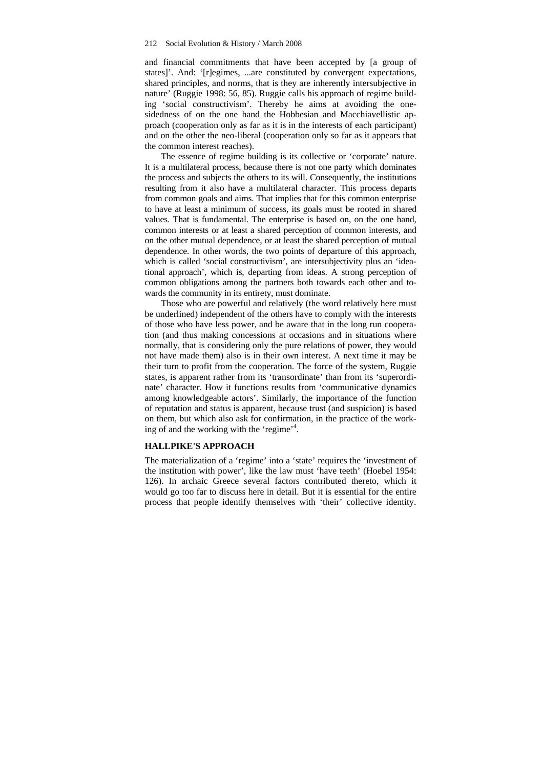and financial commitments that have been accepted by [a group of states]'. And: '[r]egimes, ...are constituted by convergent expectations, shared principles, and norms, that is they are inherently intersubjective in nature' (Ruggie 1998: 56, 85). Ruggie calls his approach of regime building 'social constructivism'. Thereby he aims at avoiding the onesidedness of on the one hand the Hobbesian and Macchiavellistic approach (cooperation only as far as it is in the interests of each participant) and on the other the neo-liberal (cooperation only so far as it appears that the common interest reaches).

The essence of regime building is its collective or 'corporate' nature. It is a multilateral process, because there is not one party which dominates the process and subjects the others to its will. Consequently, the institutions resulting from it also have a multilateral character. This process departs from common goals and aims. That implies that for this common enterprise to have at least a minimum of success, its goals must be rooted in shared values. That is fundamental. The enterprise is based on, on the one hand, common interests or at least a shared perception of common interests, and on the other mutual dependence, or at least the shared perception of mutual dependence. In other words, the two points of departure of this approach, which is called 'social constructivism', are intersubjectivity plus an 'ideational approach', which is, departing from ideas. A strong perception of common obligations among the partners both towards each other and towards the community in its entirety, must dominate.

Those who are powerful and relatively (the word relatively here must be underlined) independent of the others have to comply with the interests of those who have less power, and be aware that in the long run cooperation (and thus making concessions at occasions and in situations where normally, that is considering only the pure relations of power, they would not have made them) also is in their own interest. A next time it may be their turn to profit from the cooperation. The force of the system, Ruggie states, is apparent rather from its 'transordinate' than from its 'superordinate' character. How it functions results from 'communicative dynamics among knowledgeable actors'. Similarly, the importance of the function of reputation and status is apparent, because trust (and suspicion) is based on them, but which also ask for confirmation, in the practice of the working of and the working with the 'regime'4 .

## **HALLPIKE'S APPROACH**

The materialization of a 'regime' into a 'state' requires the 'investment of the institution with power', like the law must 'have teeth' (Hoebel 1954: 126). In archaic Greece several factors contributed thereto, which it would go too far to discuss here in detail. But it is essential for the entire process that people identify themselves with 'their' collective identity.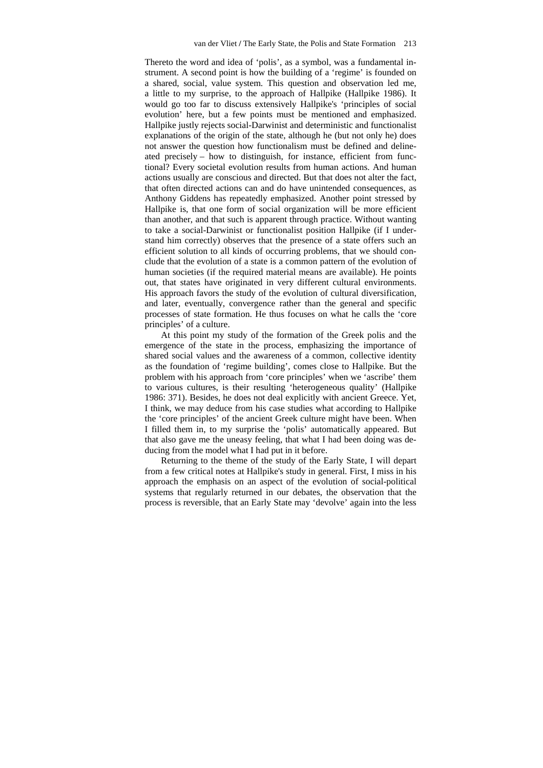Thereto the word and idea of 'polis', as a symbol, was a fundamental instrument. A second point is how the building of a 'regime' is founded on a shared, social, value system. This question and observation led me, a little to my surprise, to the approach of Hallpike (Hallpike 1986). It would go too far to discuss extensively Hallpike's 'principles of social evolution' here, but a few points must be mentioned and emphasized. Hallpike justly rejects social-Darwinist and deterministic and functionalist explanations of the origin of the state, although he (but not only he) does not answer the question how functionalism must be defined and delineated precisely – how to distinguish, for instance, efficient from functional? Every societal evolution results from human actions. And human actions usually are conscious and directed. But that does not alter the fact, that often directed actions can and do have unintended consequences, as Anthony Giddens has repeatedly emphasized. Another point stressed by Hallpike is, that one form of social organization will be more efficient than another, and that such is apparent through practice. Without wanting to take a social-Darwinist or functionalist position Hallpike (if I understand him correctly) observes that the presence of a state offers such an efficient solution to all kinds of occurring problems, that we should conclude that the evolution of a state is a common pattern of the evolution of human societies (if the required material means are available). He points out, that states have originated in very different cultural environments. His approach favors the study of the evolution of cultural diversification, and later, eventually, convergence rather than the general and specific processes of state formation. He thus focuses on what he calls the 'core principles' of a culture.

At this point my study of the formation of the Greek polis and the emergence of the state in the process, emphasizing the importance of shared social values and the awareness of a common, collective identity as the foundation of 'regime building', comes close to Hallpike. But the problem with his approach from 'core principles' when we 'ascribe' them to various cultures, is their resulting 'heterogeneous quality' (Hallpike 1986: 371). Besides, he does not deal explicitly with ancient Greece. Yet, I think, we may deduce from his case studies what according to Hallpike the 'core principles' of the ancient Greek culture might have been. When I filled them in, to my surprise the 'polis' automatically appeared. But that also gave me the uneasy feeling, that what I had been doing was deducing from the model what I had put in it before.

Returning to the theme of the study of the Early State, I will depart from a few critical notes at Hallpike's study in general. First, I miss in his approach the emphasis on an aspect of the evolution of social-political systems that regularly returned in our debates, the observation that the process is reversible, that an Early State may 'devolve' again into the less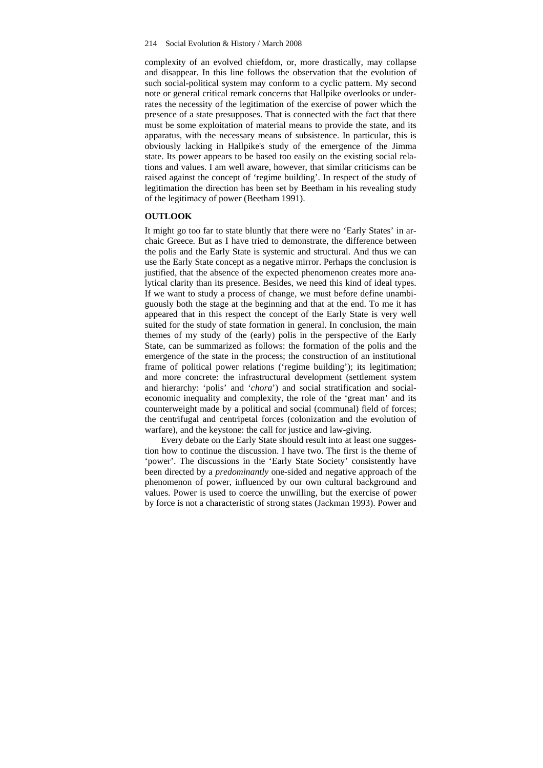complexity of an evolved chiefdom, or, more drastically, may collapse and disappear. In this line follows the observation that the evolution of such social-political system may conform to a cyclic pattern. My second note or general critical remark concerns that Hallpike overlooks or underrates the necessity of the legitimation of the exercise of power which the presence of a state presupposes. That is connected with the fact that there must be some exploitation of material means to provide the state, and its apparatus, with the necessary means of subsistence. In particular, this is obviously lacking in Hallpike's study of the emergence of the Jimma state. Its power appears to be based too easily on the existing social relations and values. I am well aware, however, that similar criticisms can be raised against the concept of 'regime building'. In respect of the study of legitimation the direction has been set by Beetham in his revealing study of the legitimacy of power (Beetham 1991).

## **OUTLOOK**

It might go too far to state bluntly that there were no 'Early States' in archaic Greece. But as I have tried to demonstrate, the difference between the polis and the Early State is systemic and structural. And thus we can use the Early State concept as a negative mirror. Perhaps the conclusion is justified, that the absence of the expected phenomenon creates more analytical clarity than its presence. Besides, we need this kind of ideal types. If we want to study a process of change, we must before define unambiguously both the stage at the beginning and that at the end. To me it has appeared that in this respect the concept of the Early State is very well suited for the study of state formation in general. In conclusion, the main themes of my study of the (early) polis in the perspective of the Early State, can be summarized as follows: the formation of the polis and the emergence of the state in the process; the construction of an institutional frame of political power relations ('regime building'); its legitimation; and more concrete: the infrastructural development (settlement system and hierarchy: 'polis' and '*chora*') and social stratification and socialeconomic inequality and complexity, the role of the 'great man' and its counterweight made by a political and social (communal) field of forces; the centrifugal and centripetal forces (colonization and the evolution of warfare), and the keystone: the call for justice and law-giving.

Every debate on the Early State should result into at least one suggestion how to continue the discussion. I have two. The first is the theme of 'power'. The discussions in the 'Early State Society' consistently have been directed by a *predominantly* one-sided and negative approach of the phenomenon of power, influenced by our own cultural background and values. Power is used to coerce the unwilling, but the exercise of power by force is not a characteristic of strong states (Jackman 1993). Power and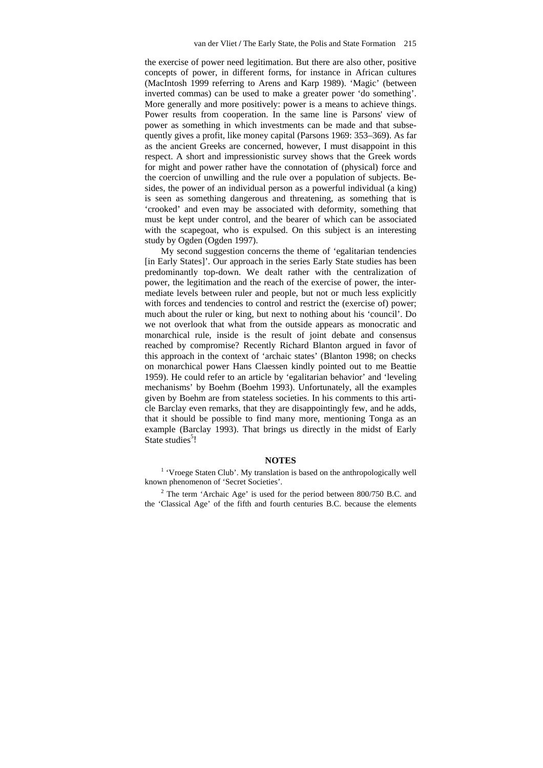the exercise of power need legitimation. But there are also other, positive concepts of power, in different forms, for instance in African cultures (MacIntosh 1999 referring to Arens and Karp 1989). 'Magic' (between inverted commas) can be used to make a greater power 'do something'. More generally and more positively: power is a means to achieve things. Power results from cooperation. In the same line is Parsons' view of power as something in which investments can be made and that subsequently gives a profit, like money capital (Parsons 1969: 353–369). As far as the ancient Greeks are concerned, however, I must disappoint in this respect. A short and impressionistic survey shows that the Greek words for might and power rather have the connotation of (physical) force and the coercion of unwilling and the rule over a population of subjects. Besides, the power of an individual person as a powerful individual (a king) is seen as something dangerous and threatening, as something that is 'crooked' and even may be associated with deformity, something that must be kept under control, and the bearer of which can be associated with the scapegoat, who is expulsed. On this subject is an interesting study by Ogden (Ogden 1997).

My second suggestion concerns the theme of 'egalitarian tendencies [in Early States]'. Our approach in the series Early State studies has been predominantly top-down. We dealt rather with the centralization of power, the legitimation and the reach of the exercise of power, the intermediate levels between ruler and people, but not or much less explicitly with forces and tendencies to control and restrict the (exercise of) power; much about the ruler or king, but next to nothing about his 'council'. Do we not overlook that what from the outside appears as monocratic and monarchical rule, inside is the result of joint debate and consensus reached by compromise? Recently Richard Blanton argued in favor of this approach in the context of 'archaic states' (Blanton 1998; on checks on monarchical power Hans Claessen kindly pointed out to me Beattie 1959). He could refer to an article by 'egalitarian behavior' and 'leveling mechanisms' by Boehm (Boehm 1993). Unfortunately, all the examples given by Boehm are from stateless societies. In his comments to this article Barclay even remarks, that they are disappointingly few, and he adds, that it should be possible to find many more, mentioning Tonga as an example (Barclay 1993). That brings us directly in the midst of Early State studies<sup>5</sup>!

#### **NOTES**

<sup>1</sup> 'Vroege Staten Club'. My translation is based on the anthropologically well known phenomenon of 'Secret Societies'.

 $2$  The term 'Archaic Age' is used for the period between 800/750 B.C. and the 'Classical Age' of the fifth and fourth centuries B.C. because the elements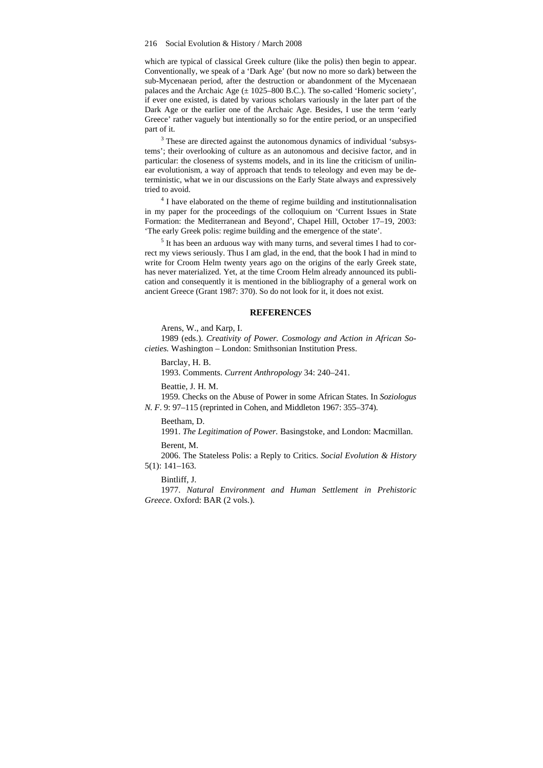#### 216 Social Evolution & History / March 2008

which are typical of classical Greek culture (like the polis) then begin to appear. Conventionally, we speak of a 'Dark Age' (but now no more so dark) between the sub-Mycenaean period, after the destruction or abandonment of the Mycenaean palaces and the Archaic Age  $(\pm 1025-800 \text{ B.C.})$ . The so-called 'Homeric society'. if ever one existed, is dated by various scholars variously in the later part of the Dark Age or the earlier one of the Archaic Age. Besides, I use the term 'early Greece' rather vaguely but intentionally so for the entire period, or an unspecified part of it.

<sup>3</sup> These are directed against the autonomous dynamics of individual 'subsystems'; their overlooking of culture as an autonomous and decisive factor, and in particular: the closeness of systems models, and in its line the criticism of unilinear evolutionism, a way of approach that tends to teleology and even may be deterministic, what we in our discussions on the Early State always and expressively tried to avoid.

<sup>4</sup> I have elaborated on the theme of regime building and institutionnalisation in my paper for the proceedings of the colloquium on 'Current Issues in State Formation: the Mediterranean and Beyond', Chapel Hill, October 17–19, 2003: 'The early Greek polis: regime building and the emergence of the state'.

<sup>5</sup> It has been an arduous way with many turns, and several times I had to correct my views seriously. Thus I am glad, in the end, that the book I had in mind to write for Croom Helm twenty years ago on the origins of the early Greek state, has never materialized. Yet, at the time Croom Helm already announced its publication and consequently it is mentioned in the bibliography of a general work on ancient Greece (Grant 1987: 370). So do not look for it, it does not exist.

#### **REFERENCES**

Arens, W., and Karp, I.

1989 (eds.). *Creativity of Power. Cosmology and Action in African Societies.* Washington – London: Smithsonian Institution Press.

Barclay, H. B.

1993. Comments. *Current Anthropology* 34: 240–241.

Beattie, J. H. M.

1959. Checks on the Abuse of Power in some African States. In *Soziologus N. F*. 9: 97–115 (reprinted in Cohen, and Middleton 1967: 355–374).

Beetham, D.

1991. *The Legitimation of Power.* Basingstoke, and London: Macmillan.

Berent, M.

2006. The Stateless Polis: a Reply to Critics. *Social Evolution & History* 5(1): 141–163.

Bintliff, J.

1977. *Natural Environment and Human Settlement in Prehistoric Greece*. Oxford: BAR (2 vols.).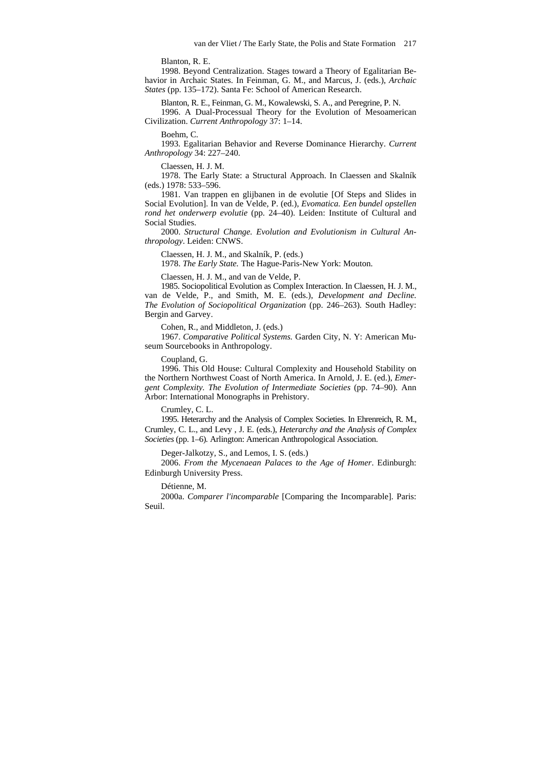Blanton, R. E.

1998. Beyond Centralization. Stages toward a Theory of Egalitarian Behavior in Archaic States. In Feinman, G. M., and Marcus, J. (eds.), *Archaic States* (pp. 135–172). Santa Fe: School of American Research.

Blanton, R. E., Feinman, G. M., Kowalewski, S. A., and Peregrine, P. N.

1996. A Dual-Processual Theory for the Evolution of Mesoamerican Civilization. *Current Anthropology* 37: 1–14.

Boehm, C.

1993. Egalitarian Behavior and Reverse Dominance Hierarchy. *Current Anthropology* 34: 227–240.

Claessen, H. J. M.

1978. The Early State: a Structural Approach. In Claessen and Skalník (eds.) 1978: 533–596.

1981. Van trappen en glijbanen in de evolutie [Of Steps and Slides in Social Evolution]. In van de Velde, P. (ed.), *Evomatica. Een bundel opstellen rond het onderwerp evolutie* (pp. 24–40). Leiden: Institute of Cultural and Social Studies.

2000. *Structural Change. Evolution and Evolutionism in Cultural Anthropology*. Leiden: CNWS.

Claessen, H. J. M., and Skalník, P. (eds.)

1978. *The Early State.* The Hague-Paris-New York: Mouton.

Claessen, H. J. M., and van de Velde, P.

1985. Sociopolitical Evolution as Complex Interaction. In Claessen, H. J. M., van de Velde, P., and Smith, M. E. (eds.), *Development and Decline. The Evolution of Sociopolitical Organization* (pp. 246–263)*.* South Hadley: Bergin and Garvey.

Cohen, R., and Middleton, J. (eds.)

1967. *Comparative Political Systems.* Garden City, N. Y: American Museum Sourcebooks in Anthropology.

Coupland, G.

1996. This Old House: Cultural Complexity and Household Stability on the Northern Northwest Coast of North America. In Arnold, J. E. (ed.), *Emergent Complexity. The Evolution of Intermediate Societies* (pp. 74–90)*.* Ann Arbor: International Monographs in Prehistory.

Crumley, C. L.

1995. Heterarchy and the Analysis of Complex Societies. In Ehrenreich, R. M., Crumley, C. L., and Levy , J. E. (eds.), *Heterarchy and the Analysis of Complex Societies* (pp. 1–6)*.* Arlington: American Anthropological Association.

Deger-Jalkotzy, S., and Lemos, I. S. (eds.)

2006. *From the Mycenaean Palaces to the Age of Homer*. Edinburgh: Edinburgh University Press.

Détienne, M.

2000a. *Comparer l'incomparable* [Comparing the Incomparable]. Paris: Seuil.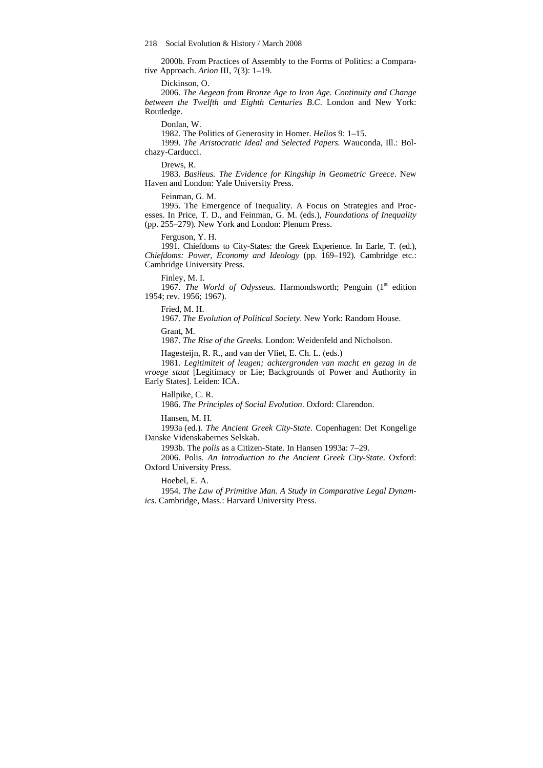2000b. From Practices of Assembly to the Forms of Politics: a Comparative Approach. *Arion* III, 7(3): 1–19.

Dickinson, O.

2006. *The Aegean from Bronze Age to Iron Age. Continuity and Change between the Twelfth and Eighth Centuries B.C*. London and New York: Routledge.

Donlan, W.

1982. The Politics of Generosity in Homer. *Helios* 9: 1–15.

1999. *The Aristocratic Ideal and Selected Papers*. Wauconda, Ill.: Bolchazy-Carducci.

Drews, R.

1983. *Basileus. The Evidence for Kingship in Geometric Greece*. New Haven and London: Yale University Press.

Feinman, G. M.

1995. The Emergence of Inequality. A Focus on Strategies and Processes. In Price, T. D., and Feinman, G. M. (eds.), *Foundations of Inequality* (pp. 255–279)*.* New York and London: Plenum Press.

Ferguson, Y. H.

1991. Chiefdoms to City-States: the Greek Experience. In Earle, T. (ed.), *Chiefdoms: Power, Economy and Ideology* (pp. 169–192)*.* Cambridge etc.: Cambridge University Press.

Finley, M. I.

1967. *The World of Odysseus*. Harmondsworth; Penguin (1<sup>st</sup> edition 1954; rev. 1956; 1967).

Fried, M. H.

1967. *The Evolution of Political Society*. New York: Random House.

Grant, M.

1987. *The Rise of the Greeks.* London: Weidenfeld and Nicholson.

Hagesteijn, R. R., and van der Vliet, E. Ch. L. (eds.)

1981. *Legitimiteit of leugen; achtergronden van macht en gezag in de vroege staat* [Legitimacy or Lie; Backgrounds of Power and Authority in Early States]. Leiden: ICA.

Hallpike, C. R.

1986. *The Principles of Social Evolution*. Oxford: Clarendon.

Hansen, M. H.

1993a (ed.). *The Ancient Greek City-State.* Copenhagen: Det Kongelige Danske Videnskabernes Selskab.

1993b. The *polis* as a Citizen-State. In Hansen 1993a: 7–29.

2006. Polis. *An Introduction to the Ancient Greek City-State*. Oxford: Oxford University Press.

Hoebel, E. A.

1954. *The Law of Primitive Man. A Study in Comparative Legal Dynamics*. Cambridge, Mass.: Harvard University Press.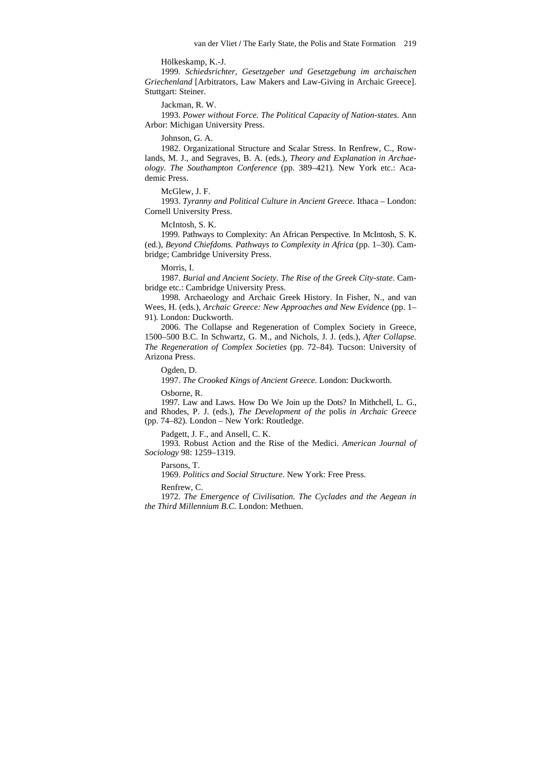#### Hölkeskamp, K.-J.

1999. *Schiedsrichter, Gesetzgeber und Gesetzgebung im archaischen Griechenland* [Arbitrators, Law Makers and Law-Giving in Archaic Greece]. Stuttgart: Steiner.

Jackman, R. W.

1993. *Power without Force. The Political Capacity of Nation-states*. Ann Arbor: Michigan University Press.

Johnson, G. A.

1982. Organizational Structure and Scalar Stress. In Renfrew, C., Rowlands, M. J., and Segraves, B. A. (eds.), *Theory and Explanation in Archaeology. The Southampton Conference* (pp. 389–421)*.* New York etc.: Academic Press.

#### McGlew, J. F.

1993. *Tyranny and Political Culture in Ancient Greece.* Ithaca – London: Cornell University Press.

#### McIntosh, S. K.

1999. Pathways to Complexity: An African Perspective. In McIntosh, S. K. (ed.), *Beyond Chiefdoms. Pathways to Complexity in Africa* (pp. 1–30)*.* Cambridge; Cambridge University Press.

Morris, I.

1987. *Burial and Ancient Society. The Rise of the Greek City-state*. Cambridge etc.: Cambridge University Press.

1998. Archaeology and Archaic Greek History. In Fisher, N., and van Wees, H. (eds.), *Archaic Greece: New Approaches and New Evidence* (pp. 1– 91)*.* London: Duckworth.

2006. The Collapse and Regeneration of Complex Society in Greece, 1500–500 B.C. In Schwartz, G. M., and Nichols, J. J. (eds.), *After Collapse. The Regeneration of Complex Societies* (pp. 72–84)*.* Tucson: University of Arizona Press.

#### Ogden, D.

1997. *The Crooked Kings of Ancient Greece*. London: Duckworth.

Osborne, R.

1997. Law and Laws. How Do We Join up the Dots? In Mithchell, L. G., and Rhodes, P. J. (eds.), *The Development of the* polis *in Archaic Greece* (pp. 74–82)*.* London – New York: Routledge.

Padgett, J. F., and Ansell, C. K.

1993. Robust Action and the Rise of the Medici. *American Journal of Sociology* 98: 1259–1319.

Parsons, T.

1969. *Politics and Social Structure*. New York: Free Press.

Renfrew, C.

1972. *The Emergence of Civilisation. The Cyclades and the Aegean in the Third Millennium B.C.* London: Methuen.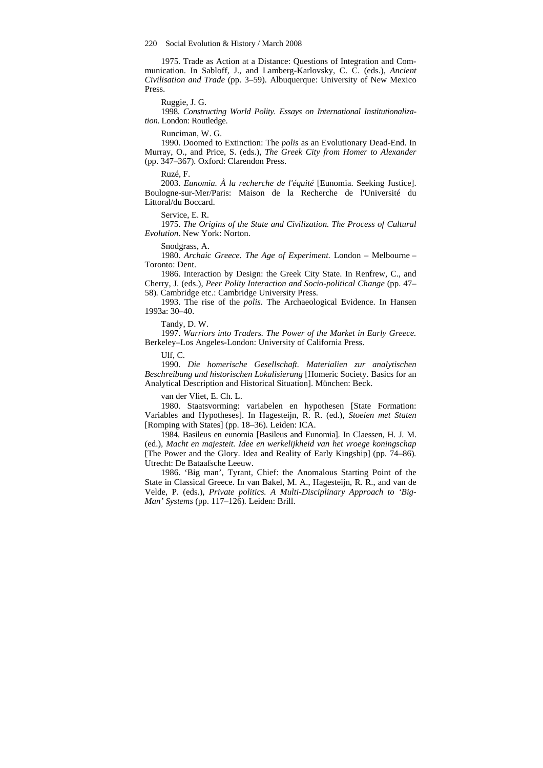1975. Trade as Action at a Distance: Questions of Integration and Communication. In Sabloff, J., and Lamberg-Karlovsky, C. C. (eds.), *Ancient Civilisation and Trade* (pp. 3–59)*.* Albuquerque: University of New Mexico Press.

Ruggie, J. G.

1998. *Constructing World Polity. Essays on International Institutionalization*. London: Routledge.

Runciman, W. G.

1990. Doomed to Extinction: The *polis* as an Evolutionary Dead-End. In Murray, O., and Price, S. (eds.), *The Greek City from Homer to Alexander* (pp. 347–367)*.* Oxford: Clarendon Press.

Ruzé, F.

2003. *Eunomia. À la recherche de l'équité* [Eunomia. Seeking Justice]. Boulogne-sur-Mer/Paris: Maison de la Recherche de l'Université du Littoral/du Boccard.

Service, E. R.

1975. *The Origins of the State and Civilization. The Process of Cultural Evolution*. New York: Norton.

Snodgrass, A.

1980. *Archaic Greece. The Age of Experiment.* London – Melbourne – Toronto: Dent.

1986. Interaction by Design: the Greek City State. In Renfrew, C., and Cherry, J. (eds.), *Peer Polity Interaction and Socio-political Change* (pp. 47– 58)*.* Cambridge etc.: Cambridge University Press.

1993. The rise of the *polis*. The Archaeological Evidence. In Hansen 1993a: 30–40.

Tandy, D. W.

1997. *Warriors into Traders. The Power of the Market in Early Greece.* Berkeley–Los Angeles-London: University of California Press.

Ulf, C.

1990. *Die homerische Gesellschaft. Materialien zur analytischen Beschreibung und historischen Lokalisierung* [Homeric Society. Basics for an Analytical Description and Historical Situation]. München: Beck.

van der Vliet, E. Ch. L.

1980. Staatsvorming: variabelen en hypothesen [State Formation: Variables and Hypotheses]. In Hagesteijn, R. R. (ed.), *Stoeien met Staten* [Romping with States] (pp. 18–36)*.* Leiden: ICA.

1984. Basileus en eunomia [Basileus and Eunomia]. In Claessen, H. J. M. (ed.), *Macht en majesteit. Idee en werkelijkheid van het vroege koningschap* [The Power and the Glory. Idea and Reality of Early Kingship] (pp. 74–86)*.* Utrecht: De Bataafsche Leeuw.

1986. 'Big man', Tyrant, Chief: the Anomalous Starting Point of the State in Classical Greece. In van Bakel, M. A., Hagesteijn, R. R., and van de Velde, P. (eds.), *Private politics. A Multi-Disciplinary Approach to 'Big-Man' Systems* (pp. 117–126)*.* Leiden: Brill.